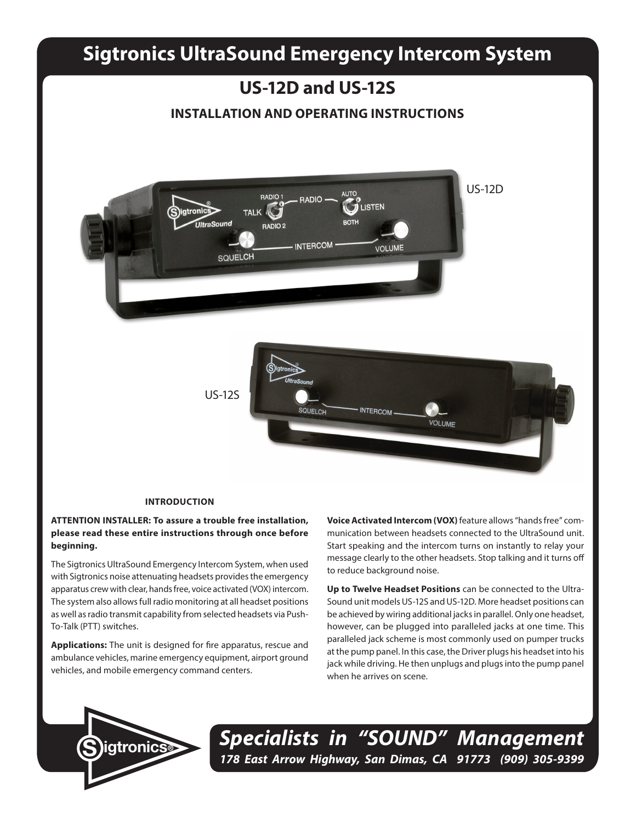# **Sigtronics UltraSound Emergency Intercom System**

# **US-12D and US-12S INSTALLATION AND OPERATING INSTRUCTIONS** US-12D **AUTO RADIO1** RADIO -**USTEN** sigtronic **TALK BOTH UltraSound RADIO 2 INTERCOM** VOLUME **SQUELCH** US-12S**SQUELCH INTERCOM** VOLUME

#### **INTRODUCTION**

# **ATTENTION INSTALLER: To assure a trouble free installation, please read these entire instructions through once before beginning.**

The Sigtronics UltraSound Emergency Intercom System, when used with Sigtronics noise attenuating headsets provides the emergency apparatus crew with clear, hands free, voice activated (VOX) intercom. The system also allows full radio monitoring at all headset positions as well as radio transmit capability from selected headsets via Push-To-Talk (PTT) switches.

**Applications:** The unit is designed for fire apparatus, rescue and ambulance vehicles, marine emergency equipment, airport ground vehicles, and mobile emergency command centers.

**Voice Activated Intercom (VOX)** feature allows "hands free" communication between headsets connected to the UltraSound unit. Start speaking and the intercom turns on instantly to relay your message clearly to the other headsets. Stop talking and it turns off to reduce background noise.

**Up to Twelve Headset Positions** can be connected to the Ultra-Sound unit models US-12S and US-12D. More headset positions can be achieved by wiring additional jacks in parallel. Only one headset, however, can be plugged into paralleled jacks at one time. This paralleled jack scheme is most commonly used on pumper trucks at the pump panel. In this case, the Driver plugs his headset into his jack while driving. He then unplugs and plugs into the pump panel when he arrives on scene.



*Specialists in "SOUND" Management 178 East Arrow Highway, San Dimas, CA 91773 (909) 305-9399* **S igtronics®**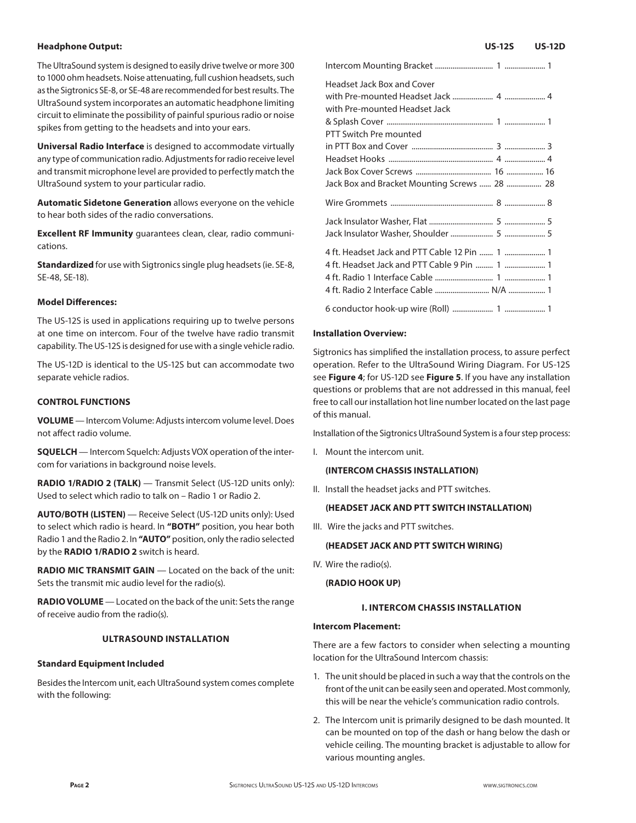#### **Headphone Output:**

The UltraSound system is designed to easily drive twelve or more 300 to 1000 ohm headsets. Noise attenuating, full cushion headsets, such as the Sigtronics SE-8, or SE-48 are recommended for best results. The UltraSound system incorporates an automatic headphone limiting circuit to eliminate the possibility of painful spurious radio or noise spikes from getting to the headsets and into your ears.

**Universal Radio Interface** is designed to accommodate virtually any type of communication radio. Adjustments for radio receive level and transmit microphone level are provided to perfectly match the UltraSound system to your particular radio.

**Automatic Sidetone Generation** allows everyone on the vehicle to hear both sides of the radio conversations.

**Excellent RF Immunity** guarantees clean, clear, radio communications.

**Standardized** for use with Sigtronics single plug headsets (ie. SE-8, SE-48, SE-18).

#### **Model Differences:**

The US-12S is used in applications requiring up to twelve persons at one time on intercom. Four of the twelve have radio transmit capability. The US-12S is designed for use with a single vehicle radio.

The US-12D is identical to the US-12S but can accommodate two separate vehicle radios.

#### **CONTROL FUNCTIONS**

**VOLUME** — Intercom Volume: Adjusts intercom volume level. Does not affect radio volume.

**SQUELCH** — Intercom Squelch: Adjusts VOX operation of the intercom for variations in background noise levels.

**RADIO 1/RADIO 2 (TALK)** — Transmit Select (US-12D units only): Used to select which radio to talk on – Radio 1 or Radio 2.

**AUTO/BOTH (LISTEN)** — Receive Select (US-12D units only): Used to select which radio is heard. In **"BOTH"** position, you hear both Radio 1 and the Radio 2. In **"AUTO"** position, only the radio selected by the **RADIO 1/RADIO 2** switch is heard.

**RADIO MIC TRANSMIT GAIN** — Located on the back of the unit: Sets the transmit mic audio level for the radio(s).

**RADIO VOLUME** — Located on the back of the unit: Sets the range of receive audio from the radio(s).

#### **ULTRASOUND INSTALLATION**

#### **Standard Equipment Included**

Besides the Intercom unit, each UltraSound system comes complete with the following:

| Headset Jack Box and Cover<br>with Pre-mounted Headset Jack |
|-------------------------------------------------------------|
| PTT Switch Pre mounted                                      |
|                                                             |
|                                                             |
|                                                             |
| Jack Box and Bracket Mounting Screws  28  28                |
|                                                             |
|                                                             |
|                                                             |
| 4 ft. Headset Jack and PTT Cable 12 Pin  1  1               |
| 4 ft. Headset Jack and PTT Cable 9 Pin  1  1                |
|                                                             |
|                                                             |
|                                                             |

#### **Installation Overview:**

Sigtronics has simplified the installation process, to assure perfect operation. Refer to the UltraSound Wiring Diagram. For US-12S see **Figure 4**; for US-12D see **Figure 5**. If you have any installation questions or problems that are not addressed in this manual, feel free to call our installation hot line number located on the last page of this manual.

Installation of the Sigtronics UltraSound System is a four step process:

I. Mount the intercom unit.

#### **(INTERCOM CHASSIS INSTALLATION)**

II. Install the headset jacks and PTT switches.

#### **(HEADSET JACK AND PTT SWITCH INSTALLATION)**

III. Wire the jacks and PTT switches.

#### **(HEADSET JACK AND PTT SWITCH WIRING)**

IV. Wire the radio(s).

**(RADIO HOOK UP)**

# **I. INTERCOM CHASSIS INSTALLATION**

#### **Intercom Placement:**

There are a few factors to consider when selecting a mounting location for the UltraSound Intercom chassis:

- 1. The unit should be placed in such a way that the controls on the front of the unit can be easily seen and operated. Most commonly, this will be near the vehicle's communication radio controls.
- 2. The Intercom unit is primarily designed to be dash mounted. It can be mounted on top of the dash or hang below the dash or vehicle ceiling. The mounting bracket is adjustable to allow for various mounting angles.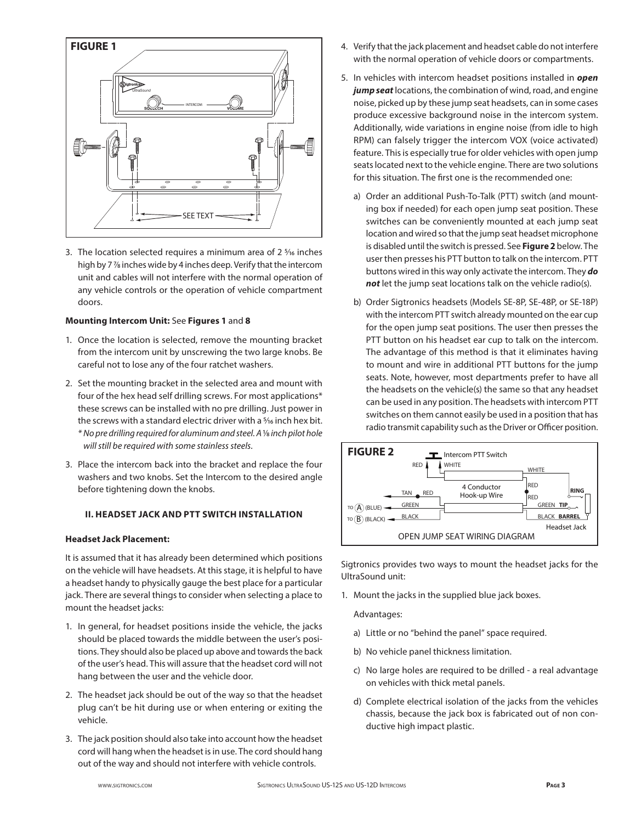

3. The location selected requires a minimum area of  $2\frac{5}{16}$  inches high by 7 7⁄8 inches wide by 4 inches deep. Verify that the intercom unit and cables will not interfere with the normal operation of any vehicle controls or the operation of vehicle compartment doors.

#### **Mounting Intercom Unit:** See **Figures 1** and **8**

- 1. Once the location is selected, remove the mounting bracket from the intercom unit by unscrewing the two large knobs. Be careful not to lose any of the four ratchet washers.
- 2. Set the mounting bracket in the selected area and mount with four of the hex head self drilling screws. For most applications\* these screws can be installed with no pre drilling. Just power in the screws with a standard electric driver with a <sup>5</sup>/16 inch hex bit. *\* No pre drilling required for aluminum and steel. A* 1⁄8 *inch pilot hole will still be required with some stainless steels.*
- 3. Place the intercom back into the bracket and replace the four washers and two knobs. Set the Intercom to the desired angle before tightening down the knobs.

# **II. HEADSET JACK AND PTT SWITCH INSTALLATION**

### **Headset Jack Placement:**

It is assumed that it has already been determined which positions on the vehicle will have headsets. At this stage, it is helpful to have a headset handy to physically gauge the best place for a particular jack. There are several things to consider when selecting a place to mount the headset jacks:

- 1. In general, for headset positions inside the vehicle, the jacks should be placed towards the middle between the user's positions. They should also be placed up above and towards the back of the user's head. This will assure that the headset cord will not hang between the user and the vehicle door.
- 2. The headset jack should be out of the way so that the headset plug can't be hit during use or when entering or exiting the vehicle.
- 3. The jack position should also take into account how the headset cord will hang when the headset is in use. The cord should hang out of the way and should not interfere with vehicle controls.
- 4. Verify that the jack placement and headset cable do not interfere with the normal operation of vehicle doors or compartments.
- 5. In vehicles with intercom headset positions installed in *open jump seat* locations, the combination of wind, road, and engine noise, picked up by these jump seat headsets, can in some cases produce excessive background noise in the intercom system. Additionally, wide variations in engine noise (from idle to high RPM) can falsely trigger the intercom VOX (voice activated) feature. This is especially true for older vehicles with open jump seats located next to the vehicle engine. There are two solutions for this situation. The first one is the recommended one:
	- a) Order an additional Push-To-Talk (PTT) switch (and mounting box if needed) for each open jump seat position. These switches can be conveniently mounted at each jump seat location and wired so that the jump seat headset microphone is disabled until the switch is pressed. See **Figure 2** below. The user then presses his PTT button to talk on the intercom. PTT buttons wired in this way only activate the intercom. They *do not* let the jump seat locations talk on the vehicle radio(s).
	- b) Order Sigtronics headsets (Models SE-8P, SE-48P, or SE-18P) with the intercom PTT switch already mounted on the ear cup for the open jump seat positions. The user then presses the PTT button on his headset ear cup to talk on the intercom. The advantage of this method is that it eliminates having to mount and wire in additional PTT buttons for the jump seats. Note, however, most departments prefer to have all the headsets on the vehicle(s) the same so that any headset can be used in any position. The headsets with intercom PTT switches on them cannot easily be used in a position that has radio transmit capability such as the Driver or Officer position.



Sigtronics provides two ways to mount the headset jacks for the UltraSound unit:

1. Mount the jacks in the supplied blue jack boxes.

Advantages:

- a) Little or no "behind the panel" space required.
- b) No vehicle panel thickness limitation.
	- c) No large holes are required to be drilled a real advantage on vehicles with thick metal panels.
	- d) Complete electrical isolation of the jacks from the vehicles chassis, because the jack box is fabricated out of non conductive high impact plastic.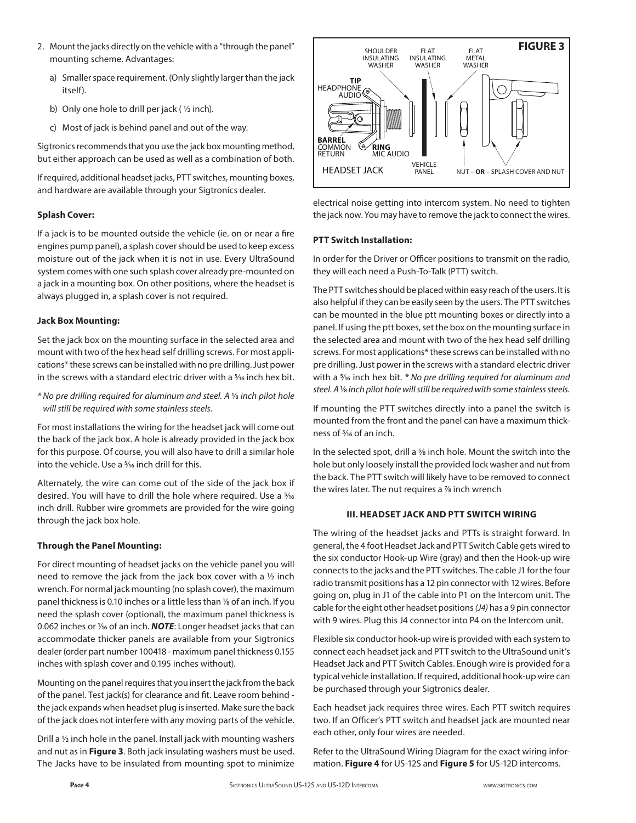- 2. Mount the jacks directly on the vehicle with a "through the panel" mounting scheme. Advantages:
	- a) Smaller space requirement. (Only slightly larger than the jack itself).
	- b) Only one hole to drill per jack ( ½ inch).
	- c) Most of jack is behind panel and out of the way.

Sigtronics recommends that you use the jack box mounting method, but either approach can be used as well as a combination of both.

If required, additional headset jacks, PTT switches, mounting boxes, and hardware are available through your Sigtronics dealer.

# **Splash Cover:**

If a jack is to be mounted outside the vehicle (ie. on or near a fire engines pump panel), a splash cover should be used to keep excess moisture out of the jack when it is not in use. Every UltraSound system comes with one such splash cover already pre-mounted on a jack in a mounting box. On other positions, where the headset is always plugged in, a splash cover is not required.

#### **Jack Box Mounting:**

Set the jack box on the mounting surface in the selected area and mount with two of the hex head self drilling screws. For most applications\* these screws can be installed with no pre drilling. Just power in the screws with a standard electric driver with a <sup>5</sup>/16 inch hex bit.

*\* No pre drilling required for aluminum and steel. A* 1⁄8 *inch pilot hole will still be required with some stainless steels.*

For most installations the wiring for the headset jack will come out the back of the jack box. A hole is already provided in the jack box for this purpose. Of course, you will also have to drill a similar hole into the vehicle. Use a <sup>5</sup>/<sub>16</sub> inch drill for this.

Alternately, the wire can come out of the side of the jack box if desired. You will have to drill the hole where required. Use a 5⁄16 inch drill. Rubber wire grommets are provided for the wire going through the jack box hole.

# **Through the Panel Mounting:**

For direct mounting of headset jacks on the vehicle panel you will need to remove the jack from the jack box cover with a ½ inch wrench. For normal jack mounting (no splash cover), the maximum panel thickness is 0.10 inches or a little less than 1/8 of an inch. If you need the splash cover (optional), the maximum panel thickness is 0.062 inches or 1/<sub>16</sub> of an inch. **NOTE**: Longer headset jacks that can accommodate thicker panels are available from your Sigtronics dealer (order part number 100418 - maximum panel thickness 0.155 inches with splash cover and 0.195 inches without).

Mounting on the panel requires that you insert the jack from the back of the panel. Test jack(s) for clearance and fit. Leave room behind the jack expands when headset plug is inserted. Make sure the back of the jack does not interfere with any moving parts of the vehicle.

Drill a ½ inch hole in the panel. Install jack with mounting washers and nut as in **Figure 3**. Both jack insulating washers must be used. The Jacks have to be insulated from mounting spot to minimize



electrical noise getting into intercom system. No need to tighten the jack now. You may have to remove the jack to connect the wires.

# **PTT Switch Installation:**

In order for the Driver or Officer positions to transmit on the radio, they will each need a Push-To-Talk (PTT) switch.

The PTT switches should be placed within easy reach of the users. It is also helpful if they can be easily seen by the users. The PTT switches can be mounted in the blue ptt mounting boxes or directly into a panel. If using the ptt boxes, set the box on the mounting surface in the selected area and mount with two of the hex head self drilling screws. For most applications\* these screws can be installed with no pre drilling. Just power in the screws with a standard electric driver with a 5⁄16 inch hex bit. *\* No pre drilling required for aluminum and steel. A* 1⁄8 *inch pilot hole will still be required with some stainless steels.*

If mounting the PTT switches directly into a panel the switch is mounted from the front and the panel can have a maximum thickness of 3⁄16 of an inch.

In the selected spot, drill a <sup>5</sup>/<sub>8</sub> inch hole. Mount the switch into the hole but only loosely install the provided lock washer and nut from the back. The PTT switch will likely have to be removed to connect the wires later. The nut requires a  $\frac{7}{8}$  inch wrench

# **III. HEADSET JACK AND PTT SWITCH WIRING**

The wiring of the headset jacks and PTTs is straight forward. In general, the 4 foot Headset Jack and PTT Switch Cable gets wired to the six conductor Hook-up Wire (gray) and then the Hook-up wire connects to the jacks and the PTT switches. The cable J1 for the four radio transmit positions has a 12 pin connector with 12 wires. Before going on, plug in J1 of the cable into P1 on the Intercom unit. The cable for the eight other headset positions *(J4)* has a 9 pin connector with 9 wires. Plug this J4 connector into P4 on the Intercom unit.

Flexible six conductor hook-up wire is provided with each system to connect each headset jack and PTT switch to the UltraSound unit's Headset Jack and PTT Switch Cables. Enough wire is provided for a typical vehicle installation. If required, additional hook-up wire can be purchased through your Sigtronics dealer.

Each headset jack requires three wires. Each PTT switch requires two. If an Officer's PTT switch and headset jack are mounted near each other, only four wires are needed.

Refer to the UltraSound Wiring Diagram for the exact wiring information. **Figure 4** for US-12S and **Figure 5** for US-12D intercoms.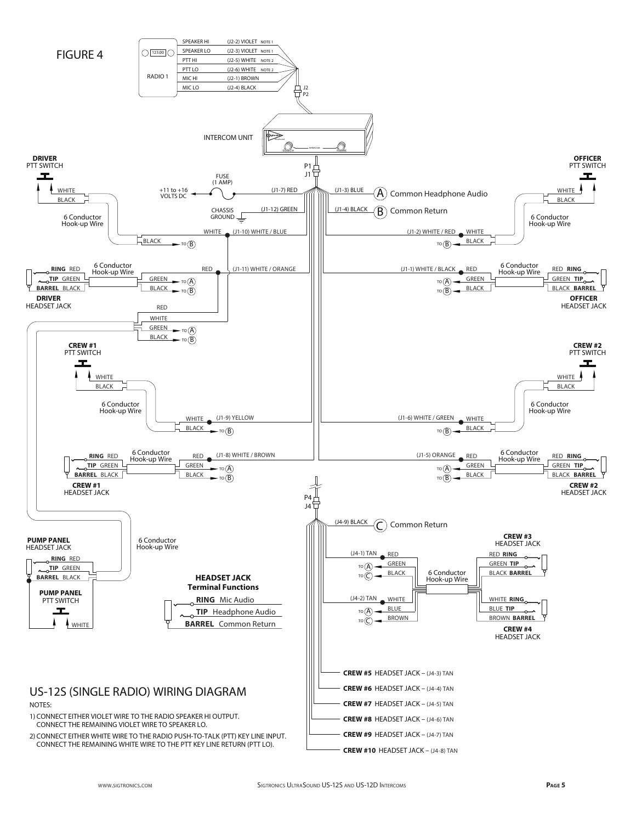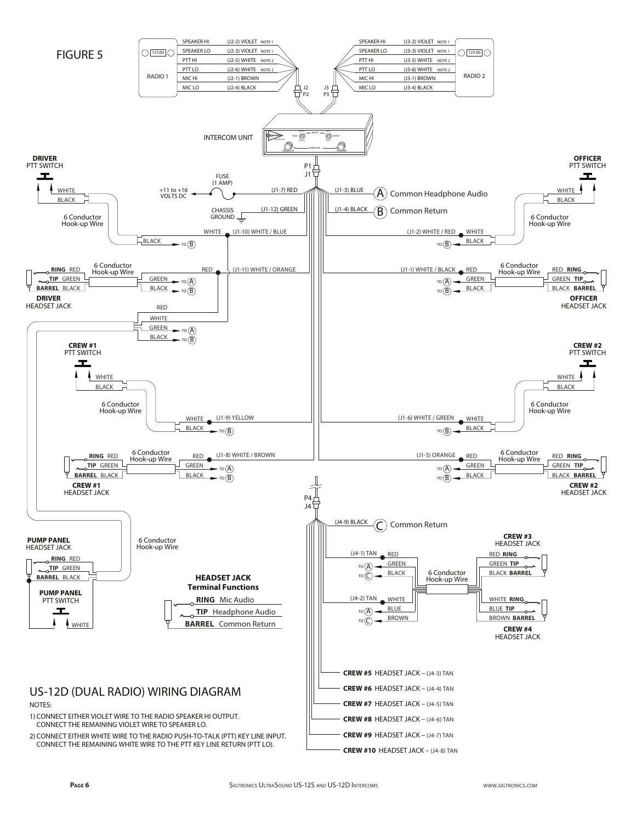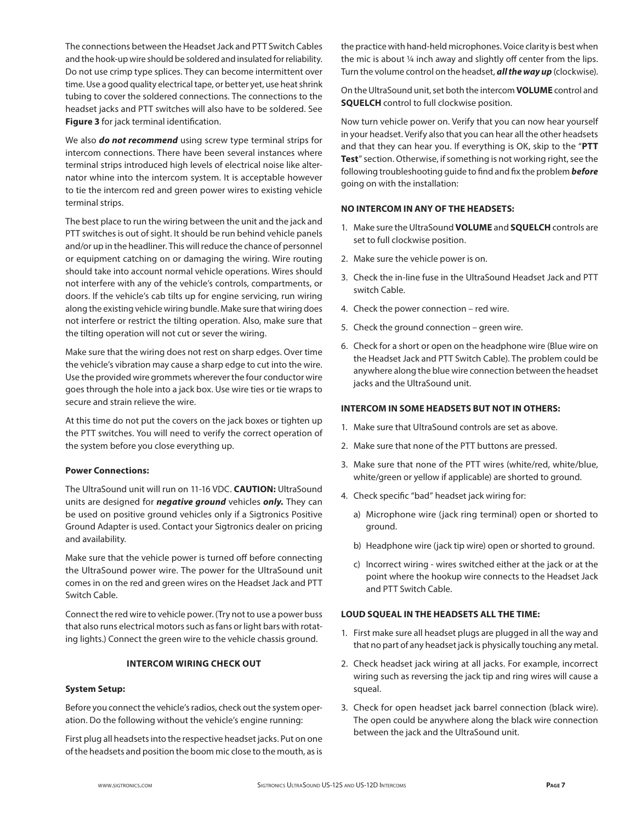The connections between the Headset Jack and PTT Switch Cables and the hook-up wire should be soldered and insulated for reliability. Do not use crimp type splices. They can become intermittent over time. Use a good quality electrical tape, or better yet, use heat shrink tubing to cover the soldered connections. The connections to the headset jacks and PTT switches will also have to be soldered. See **Figure 3** for jack terminal identification.

We also *do not recommend* using screw type terminal strips for intercom connections. There have been several instances where terminal strips introduced high levels of electrical noise like alternator whine into the intercom system. It is acceptable however to tie the intercom red and green power wires to existing vehicle terminal strips.

The best place to run the wiring between the unit and the jack and PTT switches is out of sight. It should be run behind vehicle panels and/or up in the headliner. This will reduce the chance of personnel or equipment catching on or damaging the wiring. Wire routing should take into account normal vehicle operations. Wires should not interfere with any of the vehicle's controls, compartments, or doors. If the vehicle's cab tilts up for engine servicing, run wiring along the existing vehicle wiring bundle. Make sure that wiring does not interfere or restrict the tilting operation. Also, make sure that the tilting operation will not cut or sever the wiring.

Make sure that the wiring does not rest on sharp edges. Over time the vehicle's vibration may cause a sharp edge to cut into the wire. Use the provided wire grommets wherever the four conductor wire goes through the hole into a jack box. Use wire ties or tie wraps to secure and strain relieve the wire.

At this time do not put the covers on the jack boxes or tighten up the PTT switches. You will need to verify the correct operation of the system before you close everything up.

#### **Power Connections:**

The UltraSound unit will run on 11-16 VDC. **CAUTION:** UltraSound units are designed for *negative ground* vehicles *only.* They can be used on positive ground vehicles only if a Sigtronics Positive Ground Adapter is used. Contact your Sigtronics dealer on pricing and availability.

Make sure that the vehicle power is turned off before connecting the UltraSound power wire. The power for the UltraSound unit comes in on the red and green wires on the Headset Jack and PTT Switch Cable.

Connect the red wire to vehicle power. (Try not to use a power buss that also runs electrical motors such as fans or light bars with rotating lights.) Connect the green wire to the vehicle chassis ground.

#### **INTERCOM WIRING CHECK OUT**

#### **System Setup:**

Before you connect the vehicle's radios, check out the system operation. Do the following without the vehicle's engine running:

First plug all headsets into the respective headset jacks. Put on one of the headsets and position the boom mic close to the mouth, as is the practice with hand-held microphones. Voice clarity is best when the mic is about ¼ inch away and slightly off center from the lips. Turn the volume control on the headset, *all the way up* (clockwise).

On the UltraSound unit, set both the intercom **VOLUME** control and **SQUELCH** control to full clockwise position.

Now turn vehicle power on. Verify that you can now hear yourself in your headset. Verify also that you can hear all the other headsets and that they can hear you. If everything is OK, skip to the "**PTT Test**" section. Otherwise, if something is not working right, see the following troubleshooting guide to find and fix the problem *before* going on with the installation:

#### **NO INTERCOM IN ANY OF THE HEADSETS:**

- 1. Make sure the UltraSound **VOLUME** and **SQUELCH** controls are set to full clockwise position.
- 2. Make sure the vehicle power is on.
- 3. Check the in-line fuse in the UltraSound Headset Jack and PTT switch Cable.
- 4. Check the power connection red wire.
- 5. Check the ground connection green wire.
- 6. Check for a short or open on the headphone wire (Blue wire on the Headset Jack and PTT Switch Cable). The problem could be anywhere along the blue wire connection between the headset jacks and the UltraSound unit.

#### **INTERCOM IN SOME HEADSETS BUT NOT IN OTHERS:**

- 1. Make sure that UltraSound controls are set as above.
- 2. Make sure that none of the PTT buttons are pressed.
- 3. Make sure that none of the PTT wires (white/red, white/blue, white/green or yellow if applicable) are shorted to ground.
- 4. Check specific "bad" headset jack wiring for:
	- a) Microphone wire (jack ring terminal) open or shorted to ground.
	- b) Headphone wire (jack tip wire) open or shorted to ground.
	- c) Incorrect wiring wires switched either at the jack or at the point where the hookup wire connects to the Headset Jack and PTT Switch Cable.

#### **LOUD SQUEAL IN THE HEADSETS ALL THE TIME:**

- 1. First make sure all headset plugs are plugged in all the way and that no part of any headset jack is physically touching any metal.
- 2. Check headset jack wiring at all jacks. For example, incorrect wiring such as reversing the jack tip and ring wires will cause a squeal.
- 3. Check for open headset jack barrel connection (black wire). The open could be anywhere along the black wire connection between the jack and the UltraSound unit.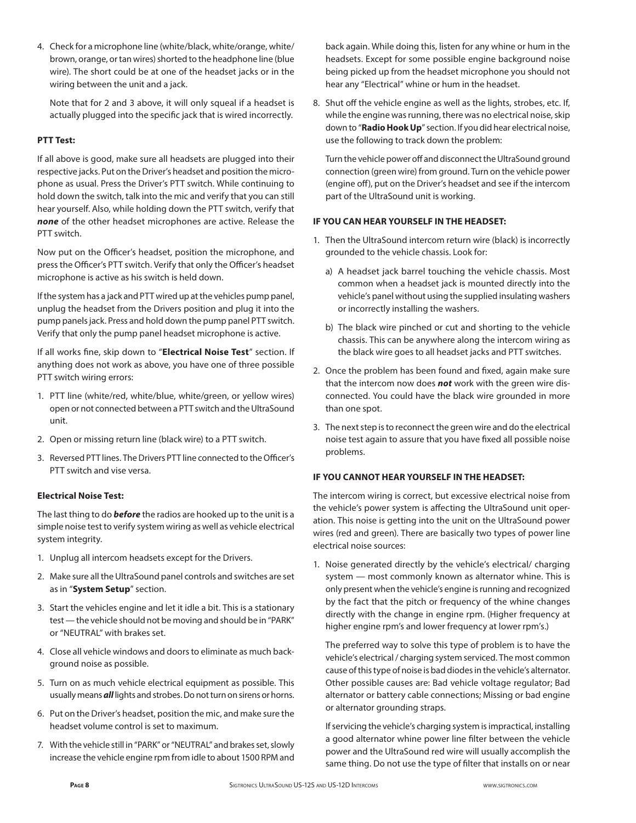4. Check for a microphone line (white/black, white/orange, white/ brown, orange, or tan wires) shorted to the headphone line (blue wire). The short could be at one of the headset jacks or in the wiring between the unit and a jack.

 Note that for 2 and 3 above, it will only squeal if a headset is actually plugged into the specific jack that is wired incorrectly.

# **PTT Test:**

If all above is good, make sure all headsets are plugged into their respective jacks. Put on the Driver's headset and position the microphone as usual. Press the Driver's PTT switch. While continuing to hold down the switch, talk into the mic and verify that you can still hear yourself. Also, while holding down the PTT switch, verify that *none* of the other headset microphones are active. Release the PTT switch.

Now put on the Officer's headset, position the microphone, and press the Officer's PTT switch. Verify that only the Officer's headset microphone is active as his switch is held down.

If the system has a jack and PTT wired up at the vehicles pump panel, unplug the headset from the Drivers position and plug it into the pump panels jack. Press and hold down the pump panel PTT switch. Verify that only the pump panel headset microphone is active.

If all works fine, skip down to "**Electrical Noise Test**" section. If anything does not work as above, you have one of three possible PTT switch wiring errors:

- 1. PTT line (white/red, white/blue, white/green, or yellow wires) open or not connected between a PTT switch and the UltraSound unit.
- 2. Open or missing return line (black wire) to a PTT switch.
- 3. Reversed PTT lines. The Drivers PTT line connected to the Officer's PTT switch and vise versa.

#### **Electrical Noise Test:**

The last thing to do *before* the radios are hooked up to the unit is a simple noise test to verify system wiring as well as vehicle electrical system integrity.

- 1. Unplug all intercom headsets except for the Drivers.
- 2. Make sure all the UltraSound panel controls and switches are set as in "**System Setup**" section.
- 3. Start the vehicles engine and let it idle a bit. This is a stationary test — the vehicle should not be moving and should be in "PARK" or "NEUTRAL" with brakes set.
- 4. Close all vehicle windows and doors to eliminate as much background noise as possible.
- 5. Turn on as much vehicle electrical equipment as possible. This usually means *all* lights and strobes. Do not turn on sirens or horns.
- 6. Put on the Driver's headset, position the mic, and make sure the headset volume control is set to maximum.
- 7. With the vehicle still in "PARK" or "NEUTRAL" and brakes set, slowly increase the vehicle engine rpm from idle to about 1500 RPM and

back again. While doing this, listen for any whine or hum in the headsets. Except for some possible engine background noise being picked up from the headset microphone you should not hear any "Electrical" whine or hum in the headset.

8. Shut off the vehicle engine as well as the lights, strobes, etc. If, while the engine was running, there was no electrical noise, skip down to "**Radio Hook Up**" section. If you did hear electrical noise, use the following to track down the problem:

 Turn the vehicle power off and disconnect the UltraSound ground connection (green wire) from ground. Turn on the vehicle power (engine off), put on the Driver's headset and see if the intercom part of the UltraSound unit is working.

# **IF YOU CAN HEAR YOURSELF IN THE HEADSET:**

- 1. Then the UltraSound intercom return wire (black) is incorrectly grounded to the vehicle chassis. Look for:
	- a) A headset jack barrel touching the vehicle chassis. Most common when a headset jack is mounted directly into the vehicle's panel without using the supplied insulating washers or incorrectly installing the washers.
	- b) The black wire pinched or cut and shorting to the vehicle chassis. This can be anywhere along the intercom wiring as the black wire goes to all headset jacks and PTT switches.
- 2. Once the problem has been found and fixed, again make sure that the intercom now does *not* work with the green wire disconnected. You could have the black wire grounded in more than one spot.
- 3. The next step is to reconnect the green wire and do the electrical noise test again to assure that you have fixed all possible noise problems.

# **IF YOU CANNOT HEAR YOURSELF IN THE HEADSET:**

The intercom wiring is correct, but excessive electrical noise from the vehicle's power system is affecting the UltraSound unit operation. This noise is getting into the unit on the UltraSound power wires (red and green). There are basically two types of power line electrical noise sources:

1. Noise generated directly by the vehicle's electrical/ charging system — most commonly known as alternator whine. This is only present when the vehicle's engine is running and recognized by the fact that the pitch or frequency of the whine changes directly with the change in engine rpm. (Higher frequency at higher engine rpm's and lower frequency at lower rpm's.)

 The preferred way to solve this type of problem is to have the vehicle's electrical / charging system serviced. The most common cause of this type of noise is bad diodes in the vehicle's alternator. Other possible causes are: Bad vehicle voltage regulator; Bad alternator or battery cable connections; Missing or bad engine or alternator grounding straps.

 If servicing the vehicle's charging system is impractical, installing a good alternator whine power line filter between the vehicle power and the UltraSound red wire will usually accomplish the same thing. Do not use the type of filter that installs on or near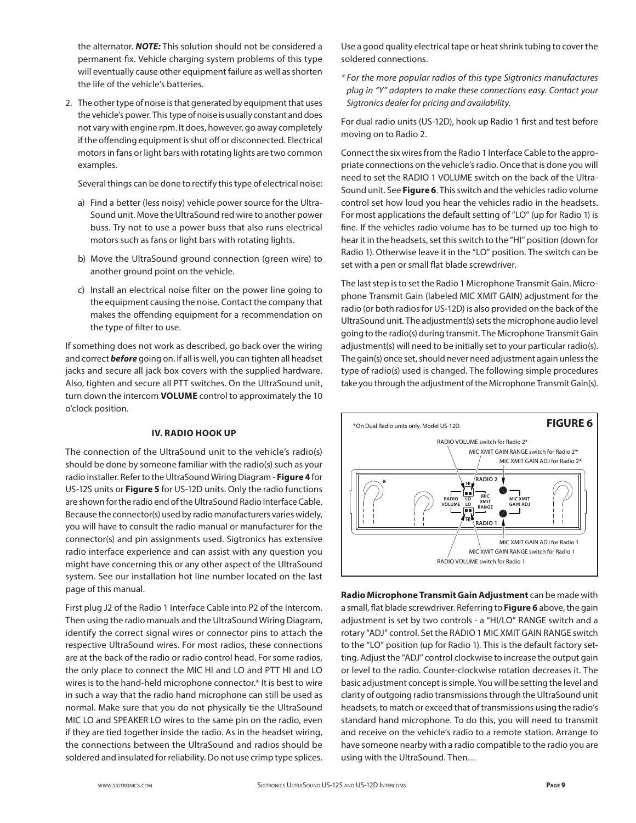the alternator. *NOTE:* This solution should not be considered a permanent fix. Vehicle charging system problems of this type will eventually cause other equipment failure as well as shorten the life of the vehicle's batteries.

2. The other type of noise is that generated by equipment that uses the vehicle's power. This type of noise is usually constant and does not vary with engine rpm. It does, however, go away completely if the offending equipment is shut off or disconnected. Electrical motors in fans or light bars with rotating lights are two common examples.

Several things can be done to rectify this type of electrical noise:

- a) Find a better (less noisy) vehicle power source for the Ultra-Sound unit. Move the UltraSound red wire to another power buss. Try not to use a power buss that also runs electrical motors such as fans or light bars with rotating lights.
- b) Move the UltraSound ground connection (green wire) to another ground point on the vehicle.
- c) Install an electrical noise filter on the power line going to the equipment causing the noise. Contact the company that makes the offending equipment for a recommendation on the type of filter to use.

If something does not work as described, go back over the wiring and correct *before* going on. If all is well, you can tighten all headset jacks and secure all jack box covers with the supplied hardware. Also, tighten and secure all PTT switches. On the UltraSound unit, turn down the intercom **VOLUME** control to approximately the 10 o'clock position.

#### **IV. RADIO HOOK UP**

The connection of the UltraSound unit to the vehicle's radio(s) should be done by someone familiar with the radio(s) such as your radio installer. Refer to the UltraSound Wiring Diagram - **Figure 4** for US-12S units or **Figure 5** for US-12D units. Only the radio functions are shown for the radio end of the UltraSound Radio Interface Cable. Because the connector(s) used by radio manufacturers varies widely, you will have to consult the radio manual or manufacturer for the connector(s) and pin assignments used. Sigtronics has extensive radio interface experience and can assist with any question you might have concerning this or any other aspect of the UltraSound system. See our installation hot line number located on the last page of this manual.

First plug J2 of the Radio 1 Interface Cable into P2 of the Intercom. Then using the radio manuals and the UltraSound Wiring Diagram, identify the correct signal wires or connector pins to attach the respective UltraSound wires. For most radios, these connections are at the back of the radio or radio control head. For some radios, the only place to connect the MIC HI and LO and PTT HI and LO wires is to the hand-held microphone connector.\* It is best to wire in such a way that the radio hand microphone can still be used as normal. Make sure that you do not physically tie the UltraSound MIC LO and SPEAKER LO wires to the same pin on the radio, even if they are tied together inside the radio. As in the headset wiring, the connections between the UltraSound and radios should be soldered and insulated for reliability. Do not use crimp type splices. Use a good quality electrical tape or heat shrink tubing to cover the soldered connections.

*\* For the more popular radios of this type Sigtronics manufactures plug in "Y" adapters to make these connections easy. Contact your Sigtronics dealer for pricing and availability.*

For dual radio units (US-12D), hook up Radio 1 first and test before moving on to Radio 2.

Connect the six wires from the Radio 1 Interface Cable to the appropriate connections on the vehicle's radio. Once that is done you will need to set the RADIO 1 VOLUME switch on the back of the Ultra-Sound unit. See **Figure 6**. This switch and the vehicles radio volume control set how loud you hear the vehicles radio in the headsets. For most applications the default setting of "LO" (up for Radio 1) is fine. If the vehicles radio volume has to be turned up too high to hear it in the headsets, set this switch to the "HI" position (down for Radio 1). Otherwise leave it in the "LO" position. The switch can be set with a pen or small flat blade screwdriver.

The last step is to set the Radio 1 Microphone Transmit Gain. Microphone Transmit Gain (labeled MIC XMIT GAIN) adjustment for the radio (or both radios for US-12D) is also provided on the back of the UltraSound unit. The adjustment(s) sets the microphone audio level going to the radio(s) during transmit. The Microphone Transmit Gain adjustment(s) will need to be initially set to your particular radio(s). The gain(s) once set, should never need adjustment again unless the type of radio(s) used is changed. The following simple procedures take you through the adjustment of the Microphone Transmit Gain(s).



**Radio Microphone Transmit Gain Adjustment** can be made with a small, flat blade screwdriver. Referring to **Figure 6** above, the gain adjustment is set by two controls - a "HI/LO" RANGE switch and a rotary "ADJ" control. Set the RADIO 1 MIC XMIT GAIN RANGE switch to the "LO" position (up for Radio 1). This is the default factory setting. Adjust the "ADJ" control clockwise to increase the output gain or level to the radio. Counter-clockwise rotation decreases it. The basic adjustment concept is simple. You will be setting the level and clarity of outgoing radio transmissions through the UltraSound unit headsets, to match or exceed that of transmissions using the radio's standard hand microphone. To do this, you will need to transmit and receive on the vehicle's radio to a remote station. Arrange to have someone nearby with a radio compatible to the radio you are using with the UltraSound. Then…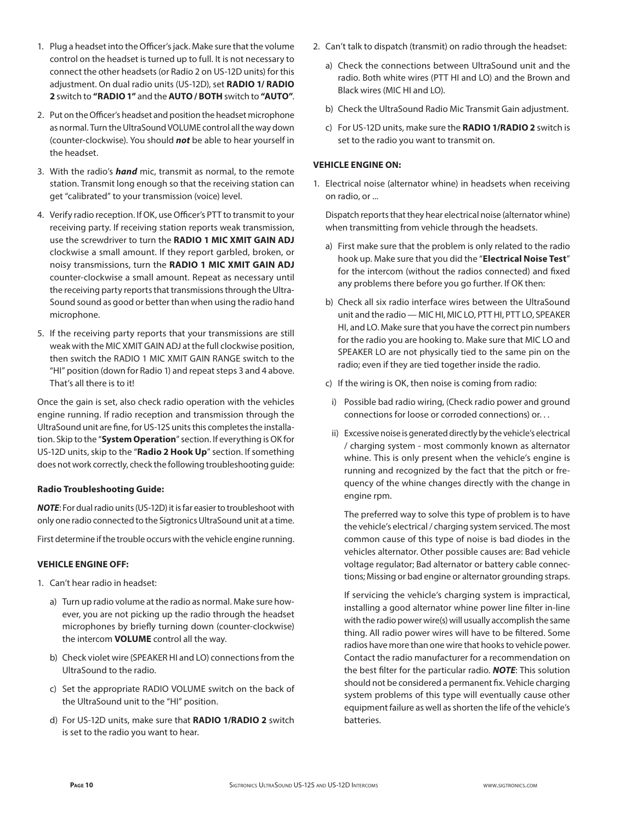- 1. Plug a headset into the Officer's jack. Make sure that the volume control on the headset is turned up to full. It is not necessary to connect the other headsets (or Radio 2 on US-12D units) for this adjustment. On dual radio units (US-12D), set **RADIO 1/ RADIO 2** switch to **"RADIO 1"** and the **AUTO / BOTH** switch to **"AUTO"**.
- 2. Put on the Officer's headset and position the headset microphone as normal. Turn the UltraSound VOLUME control all the way down (counter-clockwise). You should *not* be able to hear yourself in the headset.
- 3. With the radio's *hand* mic, transmit as normal, to the remote station. Transmit long enough so that the receiving station can get "calibrated" to your transmission (voice) level.
- 4. Verify radio reception. If OK, use Officer's PTT to transmit to your receiving party. If receiving station reports weak transmission, use the screwdriver to turn the **RADIO 1 MIC XMIT GAIN ADJ** clockwise a small amount. If they report garbled, broken, or noisy transmissions, turn the **RADIO 1 MIC XMIT GAIN ADJ** counter-clockwise a small amount. Repeat as necessary until the receiving party reports that transmissions through the Ultra-Sound sound as good or better than when using the radio hand microphone.
- 5. If the receiving party reports that your transmissions are still weak with the MIC XMIT GAIN ADJ at the full clockwise position, then switch the RADIO 1 MIC XMIT GAIN RANGE switch to the "HI" position (down for Radio 1) and repeat steps 3 and 4 above. That's all there is to it!

Once the gain is set, also check radio operation with the vehicles engine running. If radio reception and transmission through the UltraSound unit are fine, for US-12S units this completes the installation. Skip to the "**System Operation**" section. If everything is OK for US-12D units, skip to the "**Radio 2 Hook Up**" section. If something does not work correctly, check the following troubleshooting guide:

#### **Radio Troubleshooting Guide:**

*NOTE*: For dual radio units (US-12D) it is far easier to troubleshoot with only one radio connected to the Sigtronics UltraSound unit at a time.

First determine if the trouble occurs with the vehicle engine running.

#### **VEHICLE ENGINE OFF:**

- 1. Can't hear radio in headset:
	- a) Turn up radio volume at the radio as normal. Make sure however, you are not picking up the radio through the headset microphones by briefly turning down (counter-clockwise) the intercom **VOLUME** control all the way.
	- b) Check violet wire (SPEAKER HI and LO) connections from the UltraSound to the radio.
	- c) Set the appropriate RADIO VOLUME switch on the back of the UltraSound unit to the "HI" position.
	- d) For US-12D units, make sure that **RADIO 1/RADIO 2** switch is set to the radio you want to hear.
- 2. Can't talk to dispatch (transmit) on radio through the headset:
	- a) Check the connections between UltraSound unit and the radio. Both white wires (PTT HI and LO) and the Brown and Black wires (MIC HI and LO).
	- b) Check the UltraSound Radio Mic Transmit Gain adjustment.
	- c) For US-12D units, make sure the **RADIO 1/RADIO 2** switch is set to the radio you want to transmit on.

#### **VEHICLE ENGINE ON:**

1. Electrical noise (alternator whine) in headsets when receiving on radio, or ...

 Dispatch reports that they hear electrical noise (alternator whine) when transmitting from vehicle through the headsets.

- a) First make sure that the problem is only related to the radio hook up. Make sure that you did the "**Electrical Noise Test**" for the intercom (without the radios connected) and fixed any problems there before you go further. If OK then:
- b) Check all six radio interface wires between the UltraSound unit and the radio — MIC HI, MIC LO, PTT HI, PTT LO, SPEAKER HI, and LO. Make sure that you have the correct pin numbers for the radio you are hooking to. Make sure that MIC LO and SPEAKER LO are not physically tied to the same pin on the radio; even if they are tied together inside the radio.
- c) If the wiring is OK, then noise is coming from radio:
- i) Possible bad radio wiring, (Check radio power and ground connections for loose or corroded connections) or. . .
- ii) Excessive noise is generated directly by the vehicle's electrical / charging system - most commonly known as alternator whine. This is only present when the vehicle's engine is running and recognized by the fact that the pitch or frequency of the whine changes directly with the change in engine rpm.

 The preferred way to solve this type of problem is to have the vehicle's electrical / charging system serviced. The most common cause of this type of noise is bad diodes in the vehicles alternator. Other possible causes are: Bad vehicle voltage regulator; Bad alternator or battery cable connections; Missing or bad engine or alternator grounding straps.

 If servicing the vehicle's charging system is impractical, installing a good alternator whine power line filter in-line with the radio power wire(s) will usually accomplish the same thing. All radio power wires will have to be filtered. Some radios have more than one wire that hooks to vehicle power. Contact the radio manufacturer for a recommendation on the best filter for the particular radio. *NOTE*: This solution should not be considered a permanent fix. Vehicle charging system problems of this type will eventually cause other equipment failure as well as shorten the life of the vehicle's batteries.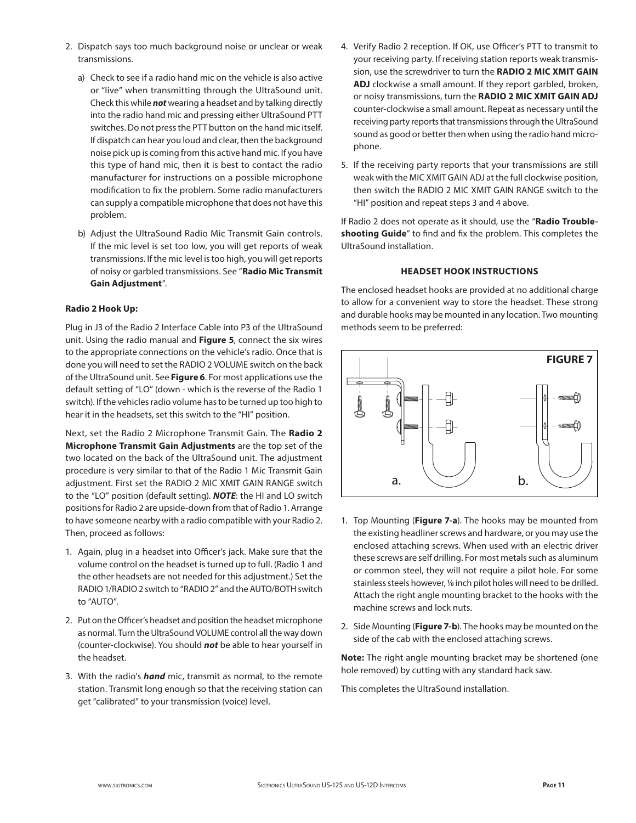- 2. Dispatch says too much background noise or unclear or weak transmissions.
	- a) Check to see if a radio hand mic on the vehicle is also active or "live" when transmitting through the UltraSound unit. Check this while *not* wearing a headset and by talking directly into the radio hand mic and pressing either UltraSound PTT switches. Do not press the PTT button on the hand mic itself. If dispatch can hear you loud and clear, then the background noise pick up is coming from this active hand mic. If you have this type of hand mic, then it is best to contact the radio manufacturer for instructions on a possible microphone modification to fix the problem. Some radio manufacturers can supply a compatible microphone that does not have this problem.
	- b) Adjust the UltraSound Radio Mic Transmit Gain controls. If the mic level is set too low, you will get reports of weak transmissions. If the mic level is too high, you will get reports of noisy or garbled transmissions. See "**Radio Mic Transmit Gain Adjustment**".

#### **Radio 2 Hook Up:**

Plug in J3 of the Radio 2 Interface Cable into P3 of the UltraSound unit. Using the radio manual and **Figure 5**, connect the six wires to the appropriate connections on the vehicle's radio. Once that is done you will need to set the RADIO 2 VOLUME switch on the back of the UltraSound unit. See **Figure 6**. For most applications use the default setting of "LO" (down - which is the reverse of the Radio 1 switch). If the vehicles radio volume has to be turned up too high to hear it in the headsets, set this switch to the "HI" position.

Next, set the Radio 2 Microphone Transmit Gain. The **Radio 2 Microphone Transmit Gain Adjustments** are the top set of the two located on the back of the UltraSound unit. The adjustment procedure is very similar to that of the Radio 1 Mic Transmit Gain adjustment. First set the RADIO 2 MIC XMIT GAIN RANGE switch to the "LO" position (default setting). *NOTE*: the HI and LO switch positions for Radio 2 are upside-down from that of Radio 1. Arrange to have someone nearby with a radio compatible with your Radio 2. Then, proceed as follows:

- 1. Again, plug in a headset into Officer's jack. Make sure that the volume control on the headset is turned up to full. (Radio 1 and the other headsets are not needed for this adjustment.) Set the RADIO 1/RADIO 2 switch to "RADIO 2" and the AUTO/BOTH switch to "AUTO".
- 2. Put on the Officer's headset and position the headset microphone as normal. Turn the UltraSound VOLUME control all the way down (counter-clockwise). You should *not* be able to hear yourself in the headset.
- 3. With the radio's *hand* mic, transmit as normal, to the remote station. Transmit long enough so that the receiving station can get "calibrated" to your transmission (voice) level.
- 4. Verify Radio 2 reception. If OK, use Officer's PTT to transmit to your receiving party. If receiving station reports weak transmission, use the screwdriver to turn the **RADIO 2 MIC XMIT GAIN ADJ** clockwise a small amount. If they report garbled, broken, or noisy transmissions, turn the **RADIO 2 MIC XMIT GAIN ADJ** counter-clockwise a small amount. Repeat as necessary until the receiving party reports that transmissions through the UltraSound sound as good or better then when using the radio hand microphone.
- 5. If the receiving party reports that your transmissions are still weak with the MIC XMIT GAIN ADJ at the full clockwise position, then switch the RADIO 2 MIC XMIT GAIN RANGE switch to the "HI" position and repeat steps 3 and 4 above.

If Radio 2 does not operate as it should, use the "**Radio Troubleshooting Guide**" to find and fix the problem. This completes the UltraSound installation.

#### **HEADSET HOOK INSTRUCTIONS**

The enclosed headset hooks are provided at no additional charge to allow for a convenient way to store the headset. These strong and durable hooks may be mounted in any location. Two mounting methods seem to be preferred:



- 1. Top Mounting (**Figure 7-a**). The hooks may be mounted from the existing headliner screws and hardware, or you may use the enclosed attaching screws. When used with an electric driver these screws are self drilling. For most metals such as aluminum or common steel, they will not require a pilot hole. For some stainless steels however, 1/8 inch pilot holes will need to be drilled. Attach the right angle mounting bracket to the hooks with the machine screws and lock nuts.
- 2. Side Mounting (**Figure 7-b**). The hooks may be mounted on the side of the cab with the enclosed attaching screws.

**Note:** The right angle mounting bracket may be shortened (one hole removed) by cutting with any standard hack saw.

This completes the UltraSound installation.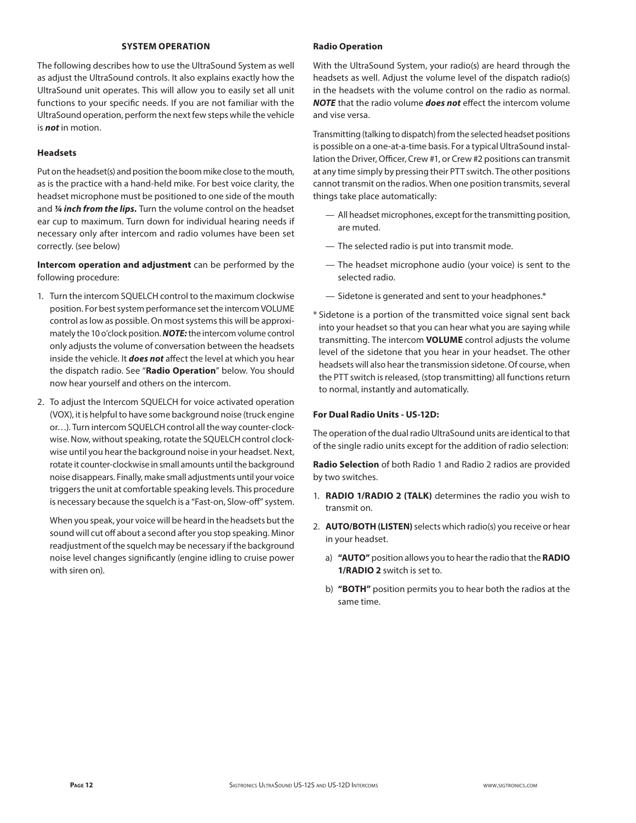#### **SYSTEM OPERATION**

The following describes how to use the UltraSound System as well as adjust the UltraSound controls. It also explains exactly how the UltraSound unit operates. This will allow you to easily set all unit functions to your specific needs. If you are not familiar with the UltraSound operation, perform the next few steps while the vehicle is *not* in motion.

#### **Headsets**

Put on the headset(s) and position the boom mike close to the mouth, as is the practice with a hand-held mike. For best voice clarity, the headset microphone must be positioned to one side of the mouth and *¼ inch from the lips.* Turn the volume control on the headset ear cup to maximum. Turn down for individual hearing needs if necessary only after intercom and radio volumes have been set correctly. (see below)

**Intercom operation and adjustment** can be performed by the following procedure:

- 1. Turn the intercom SQUELCH control to the maximum clockwise position. For best system performance set the intercom VOLUME control as low as possible. On most systems this will be approximately the 10 o'clock position. *NOTE:* the intercom volume control only adjusts the volume of conversation between the headsets inside the vehicle. It *does not* affect the level at which you hear the dispatch radio. See "**Radio Operation**" below. You should now hear yourself and others on the intercom.
- 2. To adjust the Intercom SQUELCH for voice activated operation (VOX), it is helpful to have some background noise (truck engine or…). Turn intercom SQUELCH control all the way counter-clockwise. Now, without speaking, rotate the SQUELCH control clockwise until you hear the background noise in your headset. Next, rotate it counter-clockwise in small amounts until the background noise disappears. Finally, make small adjustments until your voice triggers the unit at comfortable speaking levels. This procedure is necessary because the squelch is a "Fast-on, Slow-off" system.

 When you speak, your voice will be heard in the headsets but the sound will cut off about a second after you stop speaking. Minor readjustment of the squelch may be necessary if the background noise level changes significantly (engine idling to cruise power with siren on).

### **Radio Operation**

With the UltraSound System, your radio(s) are heard through the headsets as well. Adjust the volume level of the dispatch radio(s) in the headsets with the volume control on the radio as normal. *NOTE* that the radio volume *does not* effect the intercom volume and vise versa.

Transmitting (talking to dispatch) from the selected headset positions is possible on a one-at-a-time basis. For a typical UltraSound installation the Driver, Officer, Crew #1, or Crew #2 positions can transmit at any time simply by pressing their PTT switch. The other positions cannot transmit on the radios. When one position transmits, several things take place automatically:

- All headset microphones, except for the transmitting position, are muted.
- The selected radio is put into transmit mode.
- The headset microphone audio (your voice) is sent to the selected radio.
- Sidetone is generated and sent to your headphones.\*
- \* Sidetone is a portion of the transmitted voice signal sent back into your headset so that you can hear what you are saying while transmitting. The intercom **VOLUME** control adjusts the volume level of the sidetone that you hear in your headset. The other headsets will also hear the transmission sidetone. Of course, when the PTT switch is released, (stop transmitting) all functions return to normal, instantly and automatically.

#### **For Dual Radio Units - US-12D:**

The operation of the dual radio UltraSound units are identical to that of the single radio units except for the addition of radio selection:

**Radio Selection** of both Radio 1 and Radio 2 radios are provided by two switches.

- 1. **RADIO 1/RADIO 2 (TALK)** determines the radio you wish to transmit on.
- 2. **AUTO/BOTH (LISTEN)** selects which radio(s) you receive or hear in your headset.
	- a) **"AUTO"** position allows you to hear the radio that the **RADIO 1/RADIO 2** switch is set to.
	- b) **"BOTH"** position permits you to hear both the radios at the same time.